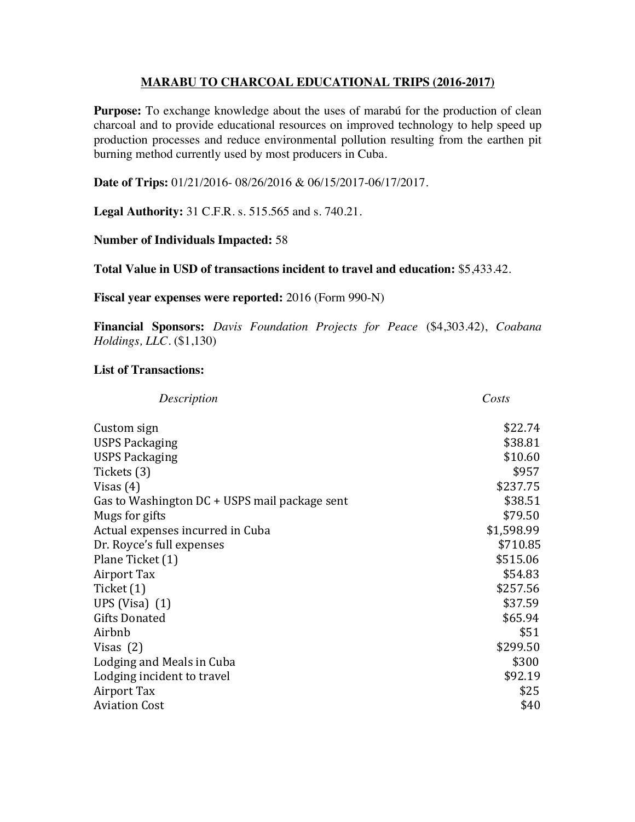## **MARABU TO CHARCOAL EDUCATIONAL TRIPS (2016-2017)**

**Purpose:** To exchange knowledge about the uses of marabu for the production of clean charcoal and to provide educational resources on improved technology to help speed up production processes and reduce environmental pollution resulting from the earthen pit burning method currently used by most producers in Cuba.

Date of Trips: 01/21/2016-08/26/2016 & 06/15/2017-06/17/2017.

**Legal Authority:** 31 C.F.R. s. 515.565 and s. 740.21.

## **Number of Individuals Impacted: 58**

Total Value in USD of transactions incident to travel and education: \$5,433.42.

Fiscal year expenses were reported: 2016 (Form 990-N)

Financial Sponsors: Davis Foundation Projects for Peace (\$4,303.42), Coabana *Holdings, LLC.* (\$1,130)

## **List of Transactions:**

| Description                                   | Costs      |
|-----------------------------------------------|------------|
| Custom sign                                   | \$22.74    |
| <b>USPS Packaging</b>                         | \$38.81    |
| USPS Packaging                                | \$10.60    |
| Tickets (3)                                   | \$957      |
| Visas (4)                                     | \$237.75   |
| Gas to Washington DC + USPS mail package sent | \$38.51    |
| Mugs for gifts                                | \$79.50    |
| Actual expenses incurred in Cuba              | \$1,598.99 |
| Dr. Royce's full expenses                     | \$710.85   |
| Plane Ticket (1)                              | \$515.06   |
| Airport Tax                                   | \$54.83    |
| Ticket (1)                                    | \$257.56   |
| UPS (Visa) $(1)$                              | \$37.59    |
| <b>Gifts Donated</b>                          | \$65.94    |
| Airbnb                                        | \$51       |
| Visas (2)                                     | \$299.50   |
| Lodging and Meals in Cuba                     | \$300      |
| Lodging incident to travel                    | \$92.19    |
| Airport Tax                                   | \$25       |
| <b>Aviation Cost</b>                          | \$40       |
|                                               |            |